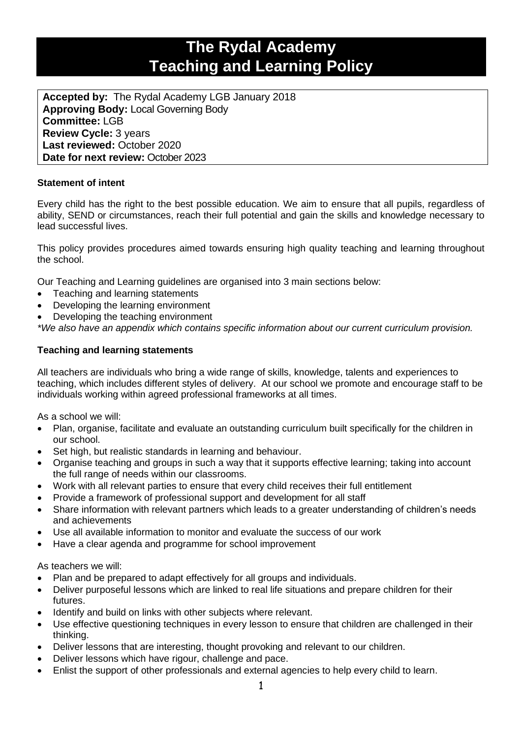# **The Rydal Academy Teaching and Learning Policy**

**Accepted by:** The Rydal Academy LGB January 2018 **Approving Body:** Local Governing Body **Committee:** LGB **Review Cycle:** 3 years **Last reviewed:** October 2020 **Date for next review:** October 2023

# **Statement of intent**

Every child has the right to the best possible education. We aim to ensure that all pupils, regardless of ability, SEND or circumstances, reach their full potential and gain the skills and knowledge necessary to lead successful lives.

This policy provides procedures aimed towards ensuring high quality teaching and learning throughout the school.

Our Teaching and Learning guidelines are organised into 3 main sections below:

- Teaching and learning statements
- Developing the learning environment
- Developing the teaching environment

*\*We also have an appendix which contains specific information about our current curriculum provision.*

## **Teaching and learning statements**

All teachers are individuals who bring a wide range of skills, knowledge, talents and experiences to teaching, which includes different styles of delivery. At our school we promote and encourage staff to be individuals working within agreed professional frameworks at all times.

As a school we will:

- Plan, organise, facilitate and evaluate an outstanding curriculum built specifically for the children in our school.
- Set high, but realistic standards in learning and behaviour.
- Organise teaching and groups in such a way that it supports effective learning; taking into account the full range of needs within our classrooms.
- Work with all relevant parties to ensure that every child receives their full entitlement
- Provide a framework of professional support and development for all staff
- Share information with relevant partners which leads to a greater understanding of children's needs and achievements
- Use all available information to monitor and evaluate the success of our work
- Have a clear agenda and programme for school improvement

As teachers we will:

- Plan and be prepared to adapt effectively for all groups and individuals.
- Deliver purposeful lessons which are linked to real life situations and prepare children for their futures.
- Identify and build on links with other subjects where relevant.
- Use effective questioning techniques in every lesson to ensure that children are challenged in their thinking.
- Deliver lessons that are interesting, thought provoking and relevant to our children.
- Deliver lessons which have rigour, challenge and pace.
- Enlist the support of other professionals and external agencies to help every child to learn.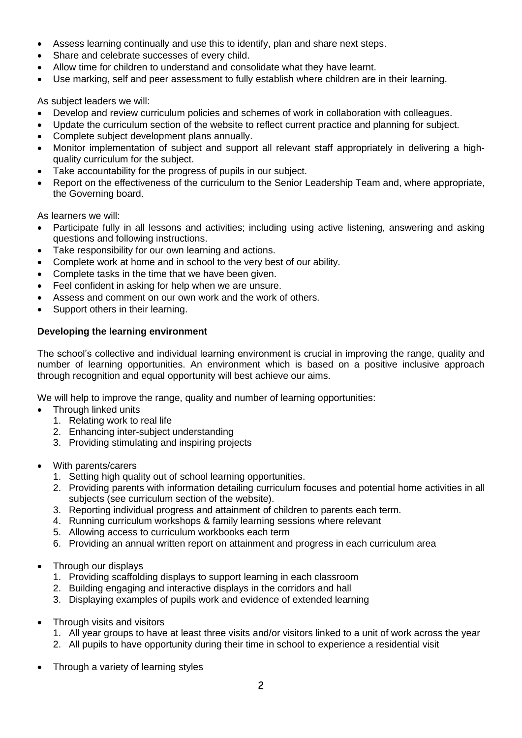- Assess learning continually and use this to identify, plan and share next steps.
- Share and celebrate successes of every child.
- Allow time for children to understand and consolidate what they have learnt.
- Use marking, self and peer assessment to fully establish where children are in their learning.

As subject leaders we will:

- Develop and review curriculum policies and schemes of work in collaboration with colleagues.
- Update the curriculum section of the website to reflect current practice and planning for subject.
- Complete subject development plans annually.
- Monitor implementation of subject and support all relevant staff appropriately in delivering a highquality curriculum for the subject.
- Take accountability for the progress of pupils in our subject.
- Report on the effectiveness of the curriculum to the Senior Leadership Team and, where appropriate, the Governing board.

As learners we will:

- Participate fully in all lessons and activities; including using active listening, answering and asking questions and following instructions.
- Take responsibility for our own learning and actions.
- Complete work at home and in school to the very best of our ability.
- Complete tasks in the time that we have been given.
- Feel confident in asking for help when we are unsure.
- Assess and comment on our own work and the work of others.
- Support others in their learning.

## **Developing the learning environment**

The school's collective and individual learning environment is crucial in improving the range, quality and number of learning opportunities. An environment which is based on a positive inclusive approach through recognition and equal opportunity will best achieve our aims.

We will help to improve the range, quality and number of learning opportunities:

- Through linked units
	- 1. Relating work to real life
	- 2. Enhancing inter-subject understanding
	- 3. Providing stimulating and inspiring projects
- With parents/carers
	- 1. Setting high quality out of school learning opportunities.
	- 2. Providing parents with information detailing curriculum focuses and potential home activities in all subjects (see curriculum section of the website).
	- 3. Reporting individual progress and attainment of children to parents each term.
	- 4. Running curriculum workshops & family learning sessions where relevant
	- 5. Allowing access to curriculum workbooks each term
	- 6. Providing an annual written report on attainment and progress in each curriculum area
- Through our displays
	- 1. Providing scaffolding displays to support learning in each classroom
	- 2. Building engaging and interactive displays in the corridors and hall
	- 3. Displaying examples of pupils work and evidence of extended learning
- Through visits and visitors
	- 1. All year groups to have at least three visits and/or visitors linked to a unit of work across the year
	- 2. All pupils to have opportunity during their time in school to experience a residential visit
- Through a variety of learning styles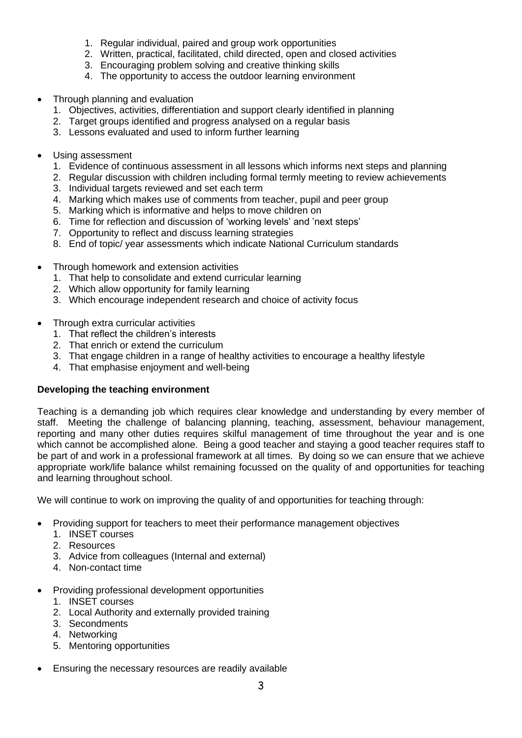- 1. Regular individual, paired and group work opportunities
- 2. Written, practical, facilitated, child directed, open and closed activities
- 3. Encouraging problem solving and creative thinking skills
- 4. The opportunity to access the outdoor learning environment
- Through planning and evaluation
	- 1. Objectives, activities, differentiation and support clearly identified in planning
	- 2. Target groups identified and progress analysed on a regular basis
	- 3. Lessons evaluated and used to inform further learning
- Using assessment
	- 1. Evidence of continuous assessment in all lessons which informs next steps and planning
	- 2. Regular discussion with children including formal termly meeting to review achievements
	- 3. Individual targets reviewed and set each term
	- 4. Marking which makes use of comments from teacher, pupil and peer group
	- 5. Marking which is informative and helps to move children on
	- 6. Time for reflection and discussion of 'working levels' and 'next steps'
	- 7. Opportunity to reflect and discuss learning strategies
	- 8. End of topic/ year assessments which indicate National Curriculum standards
- Through homework and extension activities
	- 1. That help to consolidate and extend curricular learning
	- 2. Which allow opportunity for family learning
	- 3. Which encourage independent research and choice of activity focus
- Through extra curricular activities
	- 1. That reflect the children's interests
	- 2. That enrich or extend the curriculum
	- 3. That engage children in a range of healthy activities to encourage a healthy lifestyle
	- 4. That emphasise enjoyment and well-being

# **Developing the teaching environment**

Teaching is a demanding job which requires clear knowledge and understanding by every member of staff. Meeting the challenge of balancing planning, teaching, assessment, behaviour management, reporting and many other duties requires skilful management of time throughout the year and is one which cannot be accomplished alone. Being a good teacher and staying a good teacher requires staff to be part of and work in a professional framework at all times. By doing so we can ensure that we achieve appropriate work/life balance whilst remaining focussed on the quality of and opportunities for teaching and learning throughout school.

We will continue to work on improving the quality of and opportunities for teaching through:

- Providing support for teachers to meet their performance management objectives
	- 1. INSET courses
	- 2. Resources
	- 3. Advice from colleagues (Internal and external)
	- 4. Non-contact time
- Providing professional development opportunities
	- 1. INSET courses
	- 2. Local Authority and externally provided training
	- 3. Secondments
	- 4. Networking
	- 5. Mentoring opportunities
- Ensuring the necessary resources are readily available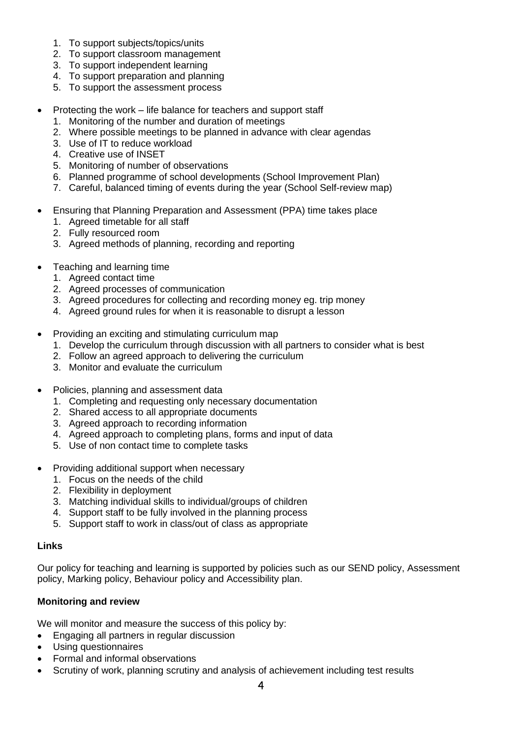- 1. To support subjects/topics/units
- 2. To support classroom management
- 3. To support independent learning
- 4. To support preparation and planning
- 5. To support the assessment process
- Protecting the work life balance for teachers and support staff
	- 1. Monitoring of the number and duration of meetings
	- 2. Where possible meetings to be planned in advance with clear agendas
	- 3. Use of IT to reduce workload
	- 4. Creative use of INSET
	- 5. Monitoring of number of observations
	- 6. Planned programme of school developments (School Improvement Plan)
	- 7. Careful, balanced timing of events during the year (School Self-review map)
- Ensuring that Planning Preparation and Assessment (PPA) time takes place
	- 1. Agreed timetable for all staff
	- 2. Fully resourced room
	- 3. Agreed methods of planning, recording and reporting
- Teaching and learning time
	- 1. Agreed contact time
	- 2. Agreed processes of communication
	- 3. Agreed procedures for collecting and recording money eg. trip money
	- 4. Agreed ground rules for when it is reasonable to disrupt a lesson
- Providing an exciting and stimulating curriculum map
	- 1. Develop the curriculum through discussion with all partners to consider what is best
	- 2. Follow an agreed approach to delivering the curriculum
	- 3. Monitor and evaluate the curriculum
- Policies, planning and assessment data
	- 1. Completing and requesting only necessary documentation
	- 2. Shared access to all appropriate documents
	- 3. Agreed approach to recording information
	- 4. Agreed approach to completing plans, forms and input of data
	- 5. Use of non contact time to complete tasks
- Providing additional support when necessary
	- 1. Focus on the needs of the child
	- 2. Flexibility in deployment
	- 3. Matching individual skills to individual/groups of children
	- 4. Support staff to be fully involved in the planning process
	- 5. Support staff to work in class/out of class as appropriate

#### **Links**

Our policy for teaching and learning is supported by policies such as our SEND policy, Assessment policy, Marking policy, Behaviour policy and Accessibility plan.

# **Monitoring and review**

We will monitor and measure the success of this policy by:

- Engaging all partners in regular discussion
- Using questionnaires
- Formal and informal observations
- Scrutiny of work, planning scrutiny and analysis of achievement including test results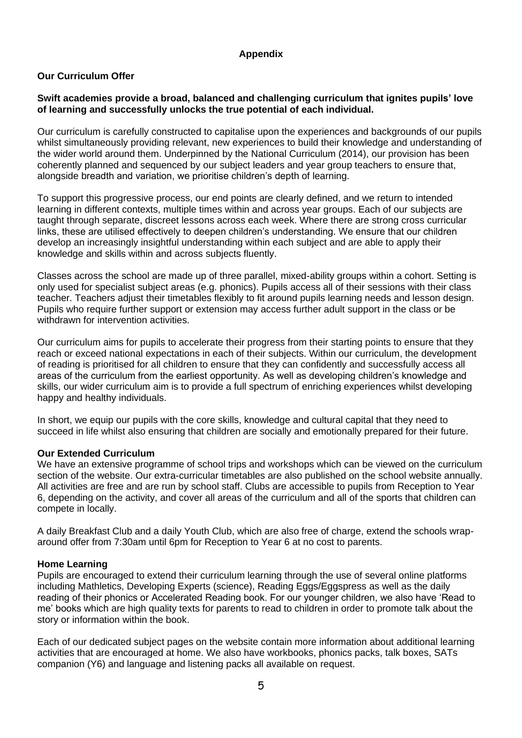### **Appendix**

# **Our Curriculum Offer**

#### **Swift academies provide a broad, balanced and challenging curriculum that ignites pupils' love of learning and successfully unlocks the true potential of each individual.**

Our curriculum is carefully constructed to capitalise upon the experiences and backgrounds of our pupils whilst simultaneously providing relevant, new experiences to build their knowledge and understanding of the wider world around them. Underpinned by the National Curriculum (2014), our provision has been coherently planned and sequenced by our subject leaders and year group teachers to ensure that, alongside breadth and variation, we prioritise children's depth of learning.

To support this progressive process, our end points are clearly defined, and we return to intended learning in different contexts, multiple times within and across year groups. Each of our subjects are taught through separate, discreet lessons across each week. Where there are strong cross curricular links, these are utilised effectively to deepen children's understanding. We ensure that our children develop an increasingly insightful understanding within each subject and are able to apply their knowledge and skills within and across subjects fluently.

Classes across the school are made up of three parallel, mixed-ability groups within a cohort. Setting is only used for specialist subject areas (e.g. phonics). Pupils access all of their sessions with their class teacher. Teachers adjust their timetables flexibly to fit around pupils learning needs and lesson design. Pupils who require further support or extension may access further adult support in the class or be withdrawn for intervention activities.

Our curriculum aims for pupils to accelerate their progress from their starting points to ensure that they reach or exceed national expectations in each of their subjects. Within our curriculum, the development of reading is prioritised for all children to ensure that they can confidently and successfully access all areas of the curriculum from the earliest opportunity. As well as developing children's knowledge and skills, our wider curriculum aim is to provide a full spectrum of enriching experiences whilst developing happy and healthy individuals.

In short, we equip our pupils with the core skills, knowledge and cultural capital that they need to succeed in life whilst also ensuring that children are socially and emotionally prepared for their future.

#### **Our Extended Curriculum**

We have an extensive programme of school trips and workshops which can be viewed on the curriculum section of the website. Our extra-curricular timetables are also published on the school website annually. All activities are free and are run by school staff. Clubs are accessible to pupils from Reception to Year 6, depending on the activity, and cover all areas of the curriculum and all of the sports that children can compete in locally.

A daily Breakfast Club and a daily Youth Club, which are also free of charge, extend the schools wraparound offer from 7:30am until 6pm for Reception to Year 6 at no cost to parents.

#### **Home Learning**

Pupils are encouraged to extend their curriculum learning through the use of several online platforms including Mathletics, Developing Experts (science), Reading Eggs/Eggspress as well as the daily reading of their phonics or Accelerated Reading book. For our younger children, we also have 'Read to me' books which are high quality texts for parents to read to children in order to promote talk about the story or information within the book.

Each of our dedicated subject pages on the website contain more information about additional learning activities that are encouraged at home. We also have workbooks, phonics packs, talk boxes, SATs companion (Y6) and language and listening packs all available on request.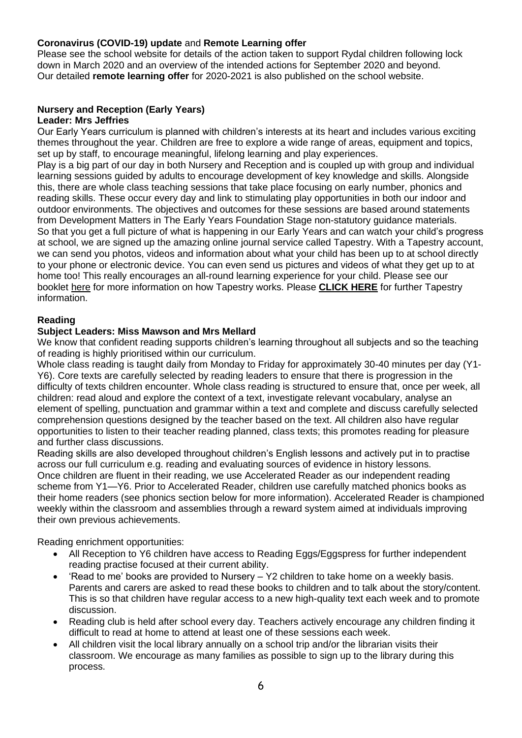## **Coronavirus (COVID-19) update** and **Remote Learning offer**

Please see the school website for details of the action taken to support Rydal children following lock down in March 2020 and an overview of the intended actions for September 2020 and beyond. Our detailed **remote learning offer** for 2020-2021 is also published on the school website.

# **Nursery and Reception (Early Years)**

#### **Leader: Mrs Jeffries**

Our Early Years curriculum is planned with children's interests at its heart and includes various exciting themes throughout the year. Children are free to explore a wide range of areas, equipment and topics, set up by staff, to encourage meaningful, lifelong learning and play experiences.

Play is a big part of our day in both Nursery and Reception and is coupled up with group and individual learning sessions guided by adults to encourage development of key knowledge and skills. Alongside this, there are whole class teaching sessions that take place focusing on early number, phonics and reading skills. These occur every day and link to stimulating play opportunities in both our indoor and outdoor environments. The objectives and outcomes for these sessions are based around statements from Development Matters in The Early Years Foundation Stage non-statutory guidance materials. So that you get a full picture of what is happening in our Early Years and can watch your child's progress at school, we are signed up the amazing online journal service called Tapestry. With a Tapestry account, we can send you photos, videos and information about what your child has been up to at school directly to your phone or electronic device. You can even send us pictures and videos of what they get up to at home too! This really encourages an all-round learning experience for your child. Please see our booklet [here](https://rydal.swiftacademies.org.uk/wp-content/uploads/sites/6/2020/07/Tapestry_information_leaflet_for_parents_2020.pdf) for more information on how Tapestry works. Please **[CLICK](https://rydal.swiftacademies.org.uk/wp-content/uploads/sites/6/2020/07/Tapestry_information_leaflet_for_parents_2020.pdf) HERE** for further Tapestry [information.](https://rydal.swiftacademies.org.uk/curriculum/subjects/reading/)

#### **[Reading](https://rydal.swiftacademies.org.uk/curriculum/subjects/reading/)**

#### **Subject Leaders: Miss Mawson and Mrs Mellard**

We know that confident reading supports children's learning throughout all subjects and so the teaching of reading is highly prioritised within our curriculum.

Whole class reading is taught daily from Monday to Friday for approximately 30-40 minutes per day (Y1- Y6). Core texts are carefully selected by reading leaders to ensure that there is progression in the difficulty of texts children encounter. Whole class reading is structured to ensure that, once per week, all children: read aloud and explore the context of a text, investigate relevant vocabulary, analyse an element of spelling, punctuation and grammar within a text and complete and discuss carefully selected comprehension questions designed by the teacher based on the text. All children also have regular opportunities to listen to their teacher reading planned, class texts; this promotes reading for pleasure and further class discussions.

Reading skills are also developed throughout children's English lessons and actively put in to practise across our full curriculum e.g. reading and evaluating sources of evidence in history lessons. Once children are fluent in their reading, we use Accelerated Reader as our independent reading scheme from Y1—Y6. Prior to Accelerated Reader, children use carefully matched phonics books as their home readers (see phonics section below for more information). Accelerated Reader is championed weekly within the classroom and assemblies through a reward system aimed at individuals improving their own previous achievements.

Reading enrichment opportunities:

- All Reception to Y6 children have access to Reading Eggs/Eggspress for further independent reading practise focused at their current ability.
- 'Read to me' books are provided to Nursery Y2 children to take home on a weekly basis. Parents and carers are asked to read these books to children and to talk about the story/content. This is so that children have regular access to a new high-quality text each week and to promote discussion.
- Reading club is held after school every day. Teachers actively encourage any children finding it difficult to read at home to attend at least one of these sessions each week.
- All children visit the local library annually on a school trip and/or the librarian visits their classroom. We encourage as many families as possible to sign up to the library during this process.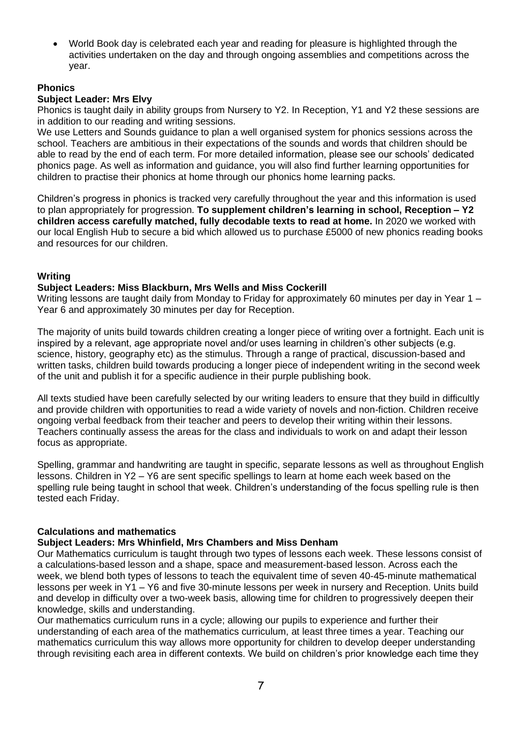• World Book day is celebrated each year and reading for pleasure is highlighted through the activities undertaken on the day and through ongoing assemblies and competitions across the [year.](https://rydal.swiftacademies.org.uk/curriculum/subjects/phonics/)

### **[Phonics](https://rydal.swiftacademies.org.uk/curriculum/subjects/phonics/)**

## **Subject Leader: Mrs Elvy**

Phonics is taught daily in ability groups from Nursery to Y2. In Reception, Y1 and Y2 these sessions are in addition to our reading and writing sessions.

We use Letters and Sounds guidance to plan a well organised system for phonics sessions across the school. Teachers are ambitious in their expectations of the sounds and words that children should be able to read by the end of each term. For more detailed information, please see our schools' dedicated phonics page. As well as information and guidance, you will also find further learning opportunities for children to practise their phonics at home through our phonics home learning packs.

Children's progress in phonics is tracked very carefully throughout the year and this information is used to plan appropriately for progression. **To supplement children's learning in school, Reception – Y2 children access carefully matched, fully decodable texts to read at home.** In 2020 we worked with our local English Hub to secure a bid which allowed us to purchase £5000 of new phonics reading books and resources for our children.

## **[Writing](https://rydal.swiftacademies.org.uk/curriculum/subjects/writing/)**

#### **Subject Leaders: Miss Blackburn, Mrs Wells and Miss Cockerill**

Writing lessons are taught daily from Monday to Friday for approximately 60 minutes per day in Year 1 – Year 6 and approximately 30 minutes per day for Reception.

The majority of units build towards children creating a longer piece of writing over a fortnight. Each unit is inspired by a relevant, age appropriate novel and/or uses learning in children's other subjects (e.g. science, history, geography etc) as the stimulus. Through a range of practical, discussion-based and written tasks, children build towards producing a longer piece of independent writing in the second week of the unit and publish it for a specific audience in their purple publishing book.

All texts studied have been carefully selected by our writing leaders to ensure that they build in difficultly and provide children with opportunities to read a wide variety of novels and non-fiction. Children receive ongoing verbal feedback from their teacher and peers to develop their writing within their lessons. Teachers continually assess the areas for the class and individuals to work on and adapt their lesson focus as appropriate.

Spelling, grammar and handwriting are taught in specific, separate lessons as well as throughout English lessons. Children in Y2 – Y6 are sent specific spellings to learn at home each week based on the spelling rule being taught in school that week. Children's understanding of the focus spelling rule is then tested each Friday.

#### **Calculations and [mathematics](https://rydal.swiftacademies.org.uk/curriculum/subjects/mathematics/)**

# **Subject Leaders: Mrs Whinfield, Mrs Chambers and Miss Denham**

Our Mathematics curriculum is taught through two types of lessons each week. These lessons consist of a calculations-based lesson and a shape, space and measurement-based lesson. Across each the week, we blend both types of lessons to teach the equivalent time of seven 40-45-minute mathematical lessons per week in Y1 – Y6 and five 30-minute lessons per week in nursery and Reception. Units build and develop in difficulty over a two-week basis, allowing time for children to progressively deepen their knowledge, skills and understanding.

Our mathematics curriculum runs in a cycle; allowing our pupils to experience and further their understanding of each area of the mathematics curriculum, at least three times a year. Teaching our mathematics curriculum this way allows more opportunity for children to develop deeper understanding through revisiting each area in different contexts. We build on children's prior knowledge each time they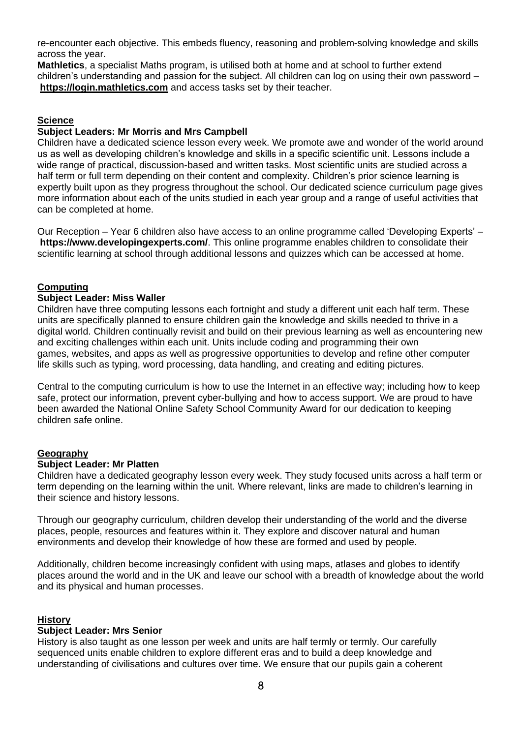re-encounter each objective. This embeds fluency, reasoning and problem-solving knowledge and skills across the year.

**Mathletics**, a specialist Maths program, is utilised both at home and at school to further extend children's understanding and passion for the subject. All children can log on using their own password – **[https://login.mathletics.com](https://login.mathletics.com/)** and access tasks set by their teacher.

### **[Science](https://rydal.swiftacademies.org.uk/curriculum/subjects/science/)**

#### **Subject Leaders: Mr Morris and Mrs Campbell**

Children have a dedicated science lesson every week. We promote awe and wonder of the world around us as well as developing children's knowledge and skills in a specific scientific unit. Lessons include a wide range of practical, discussion-based and written tasks. Most scientific units are studied across a half term or full term depending on their content and complexity. Children's prior science learning is expertly built upon as they progress throughout the school. Our dedicated science curriculum page gives more information about each of the units studied in each year group and a range of useful activities that can be completed at home.

Our Reception – Year 6 children also have access to an online programme called 'Developing Experts' – **<https://www.developingexperts.com/>**. This online programme enables children to consolidate their scientific learning at school through additional lessons and quizzes which can be accessed at home.

#### **[Computing](https://rydal.swiftacademies.org.uk/curriculum/subjects/computing/)**

#### **Subject Leader: Miss Waller**

Children have three computing lessons each fortnight and study a different unit each half term. These units are specifically planned to ensure children gain the knowledge and skills needed to thrive in a digital world. Children continually revisit and build on their previous learning as well as encountering new and exciting challenges within each unit. Units include coding and programming their own games, websites, and apps as well as progressive opportunities to develop and refine other computer life skills such as typing, word processing, data handling, and creating and editing pictures.

Central to the computing curriculum is how to use the Internet in an effective way; including how to keep safe, protect our information, prevent cyber-bullying and how to access support. We are proud to have been awarded the National Online Safety School Community Award for our dedication to keeping children safe online.

#### **[Geography](https://rydal.swiftacademies.org.uk/curriculum/subjects/geography/)**

#### **Subject Leader: Mr Platten**

Children have a dedicated geography lesson every week. They study focused units across a half term or term depending on the learning within the unit. Where relevant, links are made to children's learning in their science and history lessons.

Through our geography curriculum, children develop their understanding of the world and the diverse places, people, resources and features within it. They explore and discover natural and human environments and develop their knowledge of how these are formed and used by people.

Additionally, children become increasingly confident with using maps, atlases and globes to identify places around the world and in the UK and leave our school with a breadth of knowledge about the world and its physical and human processes.

#### **[History](https://rydal.swiftacademies.org.uk/curriculum/subjects/history/)**

#### **Subject Leader: Mrs Senior**

History is also taught as one lesson per week and units are half termly or termly. Our carefully sequenced units enable children to explore different eras and to build a deep knowledge and understanding of civilisations and cultures over time. We ensure that our pupils gain a coherent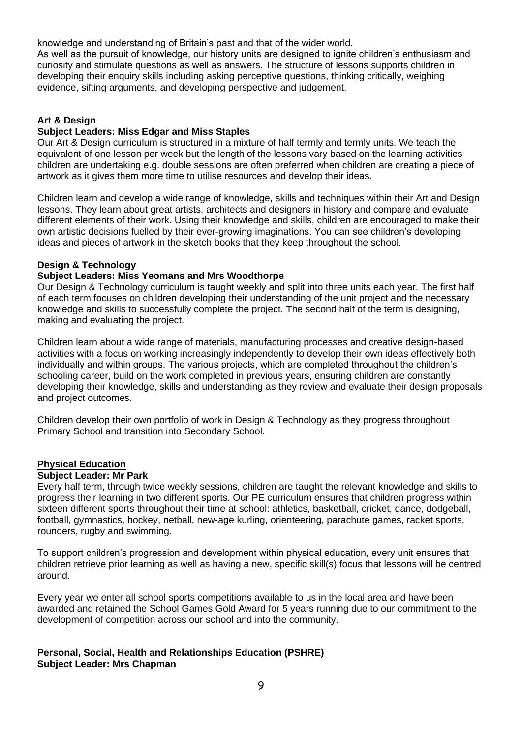knowledge and understanding of Britain's past and that of the wider world.

As well as the pursuit of knowledge, our history units are designed to ignite children's enthusiasm and curiosity and stimulate questions as well as answers. The structure of lessons supports children in developing their enquiry skills including asking perceptive questions, thinking critically, weighing evidence, sifting arguments, and developing perspective and judgement.

## **Art & [Design](https://rydal.swiftacademies.org.uk/curriculum/subjects/art/)**

#### **Subject Leaders: Miss Edgar and Miss Staples**

Our Art & Design curriculum is structured in a mixture of half termly and termly units. We teach the equivalent of one lesson per week but the length of the lessons vary based on the learning activities children are undertaking e.g. double sessions are often preferred when children are creating a piece of artwork as it gives them more time to utilise resources and develop their ideas.

Children learn and develop a wide range of knowledge, skills and techniques within their Art and Design lessons. They learn about great artists, architects and designers in history and compare and evaluate different elements of their work. Using their knowledge and skills, children are encouraged to make their own artistic decisions fuelled by their ever-growing imaginations. You can see children's developing ideas and pieces of artwork in the sketch books that they keep throughout the school.

#### **Design & [Technology](https://rydal.swiftacademies.org.uk/curriculum/subjects/design-technology/)**

# **Subject Leaders: Miss Yeomans and Mrs Woodthorpe**

Our Design & Technology curriculum is taught weekly and split into three units each year. The first half of each term focuses on children developing their understanding of the unit project and the necessary knowledge and skills to successfully complete the project. The second half of the term is designing, making and evaluating the project.

Children learn about a wide range of materials, manufacturing processes and creative design-based activities with a focus on working increasingly independently to develop their own ideas effectively both individually and within groups. The various projects, which are completed throughout the children's schooling career, build on the work completed in previous years, ensuring children are constantly developing their knowledge, skills and understanding as they review and evaluate their design proposals and project outcomes.

Children develop their own portfolio of work in Design & Technology as they progress throughout Primary School and transition into Secondary School.

# **Physical [Education](https://rydal.swiftacademies.org.uk/curriculum/subjects/physical-education/)**

#### **Subject Leader: Mr Park**

Every half term, through twice weekly sessions, children are taught the relevant knowledge and skills to progress their learning in two different sports. Our PE curriculum ensures that children progress within sixteen different sports throughout their time at school: athletics, basketball, cricket, dance, dodgeball, football, gymnastics, hockey, netball, new-age kurling, orienteering, parachute games, racket sports, rounders, rugby and swimming.

To support children's progression and development within physical education, every unit ensures that children retrieve prior learning as well as having a new, specific skill(s) focus that lessons will be centred around.

Every year we enter all school sports competitions available to us in the local area and have been awarded and retained the School Games Gold Award for 5 years running due to our commitment to the development of competition across our school and into the community.

#### **Personal, Social, Health and [Relationships](https://rydal.swiftacademies.org.uk/curriculum/subjects/pshre/) Education (PSHRE) Subject Leader: Mrs Chapman**